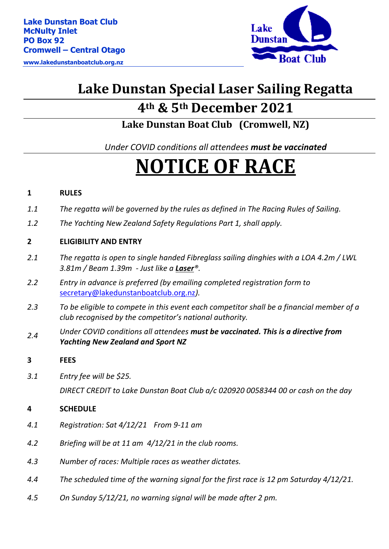**www.lakedunstanboatclub.org.nz** 



## **Lake Dunstan Special Laser Sailing Regatta**

### **4th & 5th December 2021**

**Lake Dunstan Boat Club (Cromwell, NZ)**

*Under COVID conditions all attendees must be vaccinated*

# **NOTICE OF RACE**

#### **1 RULES**

- *1.1 The regatta will be governed by the rules as defined in The Racing Rules of Sailing.*
- *1.2 The Yachting New Zealand Safety Regulations Part 1, shall apply.*

#### **2 ELIGIBILITY AND ENTRY**

- *2.1 The regatta is open to single handed Fibreglass sailing dinghies with a [LOA](https://en.wikipedia.org/wiki/Length_overall) 4.2m / [LWL](https://en.wikipedia.org/wiki/Waterline_length) 3.81m / [Beam](https://en.wikipedia.org/wiki/Beam_(nautical)) 1.39m - Just like a Laser®.*
- *2.2 Entry in advance is preferred (by emailing completed registration form to*  [secretary@lakedunstanboatclub.org.nz](mailto:secretary@lakedunstanboatclub.org.nz)*).*
- *2.3 To be eligible to compete in this event each competitor shall be a financial member of a club recognised by the competitor's national authority.*
- *2.4 Under COVID conditions all attendees must be vaccinated. This is a directive from Yachting New Zealand and Sport NZ*
- **3 FEES**
- *3.1 Entry fee will be \$25.*

*DIRECT CREDIT to Lake Dunstan Boat Club a/c 020920 0058344 00 or cash on the day*

#### **4 SCHEDULE**

- *4.1 Registration: Sat 4/12/21 From 9-11 am*
- *4.2 Briefing will be at 11 am 4/12/21 in the club rooms.*
- *4.3 Number of races: Multiple races as weather dictates.*
- *4.4 The scheduled time of the warning signal for the first race is 12 pm Saturday 4/12/21.*
- *4.5 On Sunday 5/12/21, no warning signal will be made after 2 pm.*